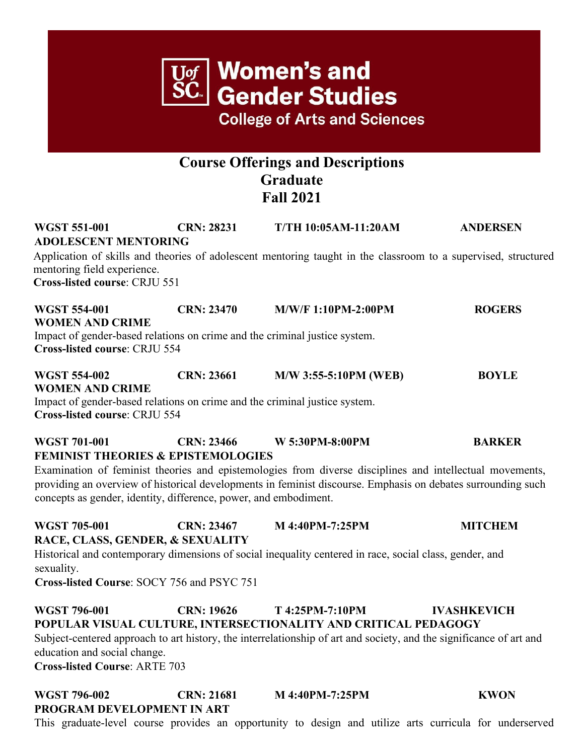

## **POPULAR VISUAL CULTURE, INTERSECTIONALITY AND CRITICAL PEDAGOGY** Subject-centered approach to art history, the interrelationship of art and society, and the significance of art and education and social change.

**Cross-listed Course**: ARTE 703

## **WGST 796-002 CRN: 21681 M 4:40PM-7:25PM KWON PROGRAM DEVELOPMENT IN ART**

This graduate-level course provides an opportunity to design and utilize arts curricula for underserved